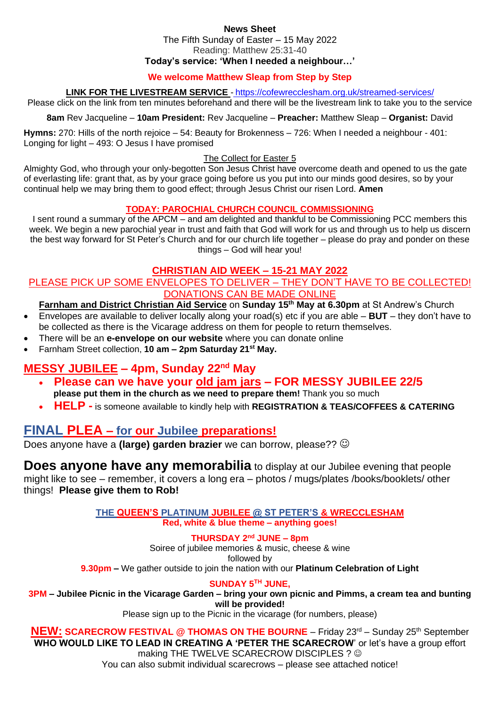### **News Sheet**

#### The Fifth Sunday of Easter – 15 May 2022 Reading: Matthew 25:31-40 **Today's service: 'When I needed a neighbour…'**

### **We welcome Matthew Sleap from Step by Step**

### **LINK FOR THE LIVESTREAM SERVICE** - <https://cofewrecclesham.org.uk/streamed-services/>

Please click on the link from ten minutes beforehand and there will be the livestream link to take you to the service

**8am** Rev Jacqueline – **10am President:** Rev Jacqueline – **Preacher:** Matthew Sleap – **Organist:** David

**Hymns:** 270: Hills of the north rejoice – 54: Beauty for Brokenness – 726: When I needed a neighbour - 401: Longing for light – 493: O Jesus I have promised

### The Collect for Easter 5

Almighty God, who through your only-begotten Son Jesus Christ have overcome death and opened to us the gate of everlasting life: grant that, as by your grace going before us you put into our minds good desires, so by your continual help we may bring them to good effect; through Jesus Christ our risen Lord. **Amen**

### **TODAY: PAROCHIAL CHURCH COUNCIL COMMISSIONING**

I sent round a summary of the APCM – and am delighted and thankful to be Commissioning PCC members this week. We begin a new parochial year in trust and faith that God will work for us and through us to help us discern the best way forward for St Peter's Church and for our church life together – please do pray and ponder on these things – God will hear you!

### **CHRISTIAN AID WEEK – 15-21 MAY 2022**

## PLEASE PICK UP SOME ENVELOPES TO DELIVER - THEY DON'T HAVE TO BE COLLECTED! DONATIONS CAN BE MADE ONLINE

**Farnham and District Christian Aid Service** on **Sunday 15th May at 6.30pm** at St Andrew's Church • Envelopes are available to deliver locally along your road(s) etc if you are able – **BUT** – they don't have to be collected as there is the Vicarage address on them for people to return themselves.

- There will be an **e-envelope on our website** where you can donate online
- Farnham Street collection, **10 am – 2pm Saturday 21st May.**

# **MESSY JUBILEE – 4pm, Sunday 22nd May**

- **Please can we have your old jam jars – FOR MESSY JUBILEE 22/5 please put them in the church as we need to prepare them!** Thank you so much
	- **HELP -** is someone available to kindly help with **REGISTRATION & TEAS/COFFEES & CATERING**

# **FINAL PLEA – for our Jubilee preparations!**

Does anyone have a **(large) garden brazier** we can borrow, please?? ☺

**Does anyone have any memorabilia** to display at our Jubilee evening that people might like to see – remember, it covers a long era – photos / mugs/plates /books/booklets/ other things! **Please give them to Rob!**

**THE QUEEN'S PLATINUM JUBILEE @ ST PETER'S & WRECCLESHAM**

**Red, white & blue theme – anything goes!**

**THURSDAY 2nd JUNE – 8pm**

Soiree of jubilee memories & music, cheese & wine followed by **9.30pm –** We gather outside to join the nation with our **Platinum Celebration of Light** 

**SUNDAY 5TH JUNE,** 

**3PM – Jubilee Picnic in the Vicarage Garden – bring your own picnic and Pimms, a cream tea and bunting will be provided!**

Please sign up to the Picnic in the vicarage (for numbers, please)

**NEW: SCARECROW FESTIVAL @ THOMAS ON THE BOURNE** – Friday 23<sup>rd</sup> – Sunday 25<sup>th</sup> September **WHO WOULD LIKE TO LEAD IN CREATING A 'PETER THE SCARECROW**' or let's have a group effort making THE TWELVE SCARECROW DISCIPLES ?  $@$ You can also submit individual scarecrows – please see attached notice!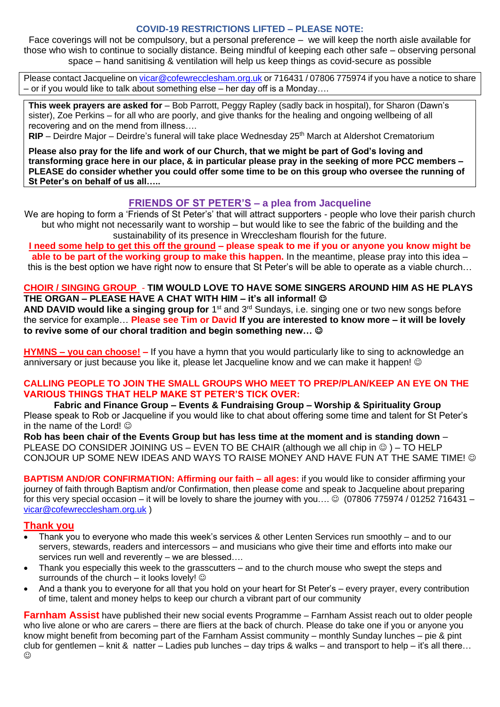### **COVID-19 RESTRICTIONS LIFTED – PLEASE NOTE:**

Face coverings will not be compulsory, but a personal preference – we will keep the north aisle available for those who wish to continue to socially distance. Being mindful of keeping each other safe – observing personal space – hand sanitising & ventilation will help us keep things as covid-secure as possible

Please contact Jacqueline on [vicar@cofewrecclesham.org.uk](mailto:vicar@cofewrecclesham.org.uk) or 716431 / 07806 775974 if you have a notice to share – or if you would like to talk about something else – her day off is a Monday….

**This week prayers are asked for** – Bob Parrott, Peggy Rapley (sadly back in hospital), for Sharon (Dawn's sister), Zoe Perkins – for all who are poorly, and give thanks for the healing and ongoing wellbeing of all recovering and on the mend from illness….

**RIP** – Deirdre Major – Deirdre's funeral will take place Wednesday 25<sup>th</sup> March at Aldershot Crematorium

**Please also pray for the life and work of our Church, that we might be part of God's loving and transforming grace here in our place, & in particular please pray in the seeking of more PCC members – PLEASE do consider whether you could offer some time to be on this group who oversee the running of St Peter's on behalf of us all…..**

### **FRIENDS OF ST PETER'S – a plea from Jacqueline**

We are hoping to form a 'Friends of St Peter's' that will attract supporters - people who love their parish church but who might not necessarily want to worship – but would like to see the fabric of the building and the sustainability of its presence in Wrecclesham flourish for the future.

**I need some help to get this off the ground – please speak to me if you or anyone you know might be able to be part of the working group to make this happen.** In the meantime, please pray into this idea – this is the best option we have right now to ensure that St Peter's will be able to operate as a viable church…

### **CHOIR / SINGING GROUP** - **TIM WOULD LOVE TO HAVE SOME SINGERS AROUND HIM AS HE PLAYS THE ORGAN – PLEASE HAVE A CHAT WITH HIM – it's all informal!** ☺

AND DAVID would like a singing group for 1<sup>st</sup> and 3<sup>rd</sup> Sundays, i.e. singing one or two new songs before the service for example… **Please see Tim or David If you are interested to know more – it will be lovely to revive some of our choral tradition and begin something new…** ☺

**HYMNS – you can choose! –** If you have a hymn that you would particularly like to sing to acknowledge an anniversary or just because you like it, please let Jacqueline know and we can make it happen! ©

### **CALLING PEOPLE TO JOIN THE SMALL GROUPS WHO MEET TO PREP/PLAN/KEEP AN EYE ON THE VARIOUS THINGS THAT HELP MAKE ST PETER'S TICK OVER:**

**Fabric and Finance Group – Events & Fundraising Group – Worship & Spirituality Group** Please speak to Rob or Jacqueline if you would like to chat about offering some time and talent for St Peter's in the name of the Lord!  $\odot$ 

**Rob has been chair of the Events Group but has less time at the moment and is standing down** – PLEASE DO CONSIDER JOINING US – EVEN TO BE CHAIR (although we all chip in  $\odot$ ) – TO HELP CONJOUR UP SOME NEW IDEAS AND WAYS TO RAISE MONEY AND HAVE FUN AT THE SAME TIME!  $\odot$ 

**BAPTISM AND/OR CONFIRMATION: Affirming our faith – all ages:** if you would like to consider affirming your journey of faith through Baptism and/or Confirmation, then please come and speak to Jacqueline about preparing for this very special occasion – it will be lovely to share the journey with you....  $\circledcirc$  (07806 775974 / 01252 716431 – [vicar@cofewrecclesham.org.uk](mailto:vicar@cofewrecclesham.org.uk) )

### **Thank you**

- Thank you to everyone who made this week's services & other Lenten Services run smoothly and to our servers, stewards, readers and intercessors – and musicians who give their time and efforts into make our services run well and reverently – we are blessed….
- Thank you especially this week to the grasscutters and to the church mouse who swept the steps and surrounds of the church – it looks lovely!  $\odot$
- And a thank you to everyone for all that you hold on your heart for St Peter's every prayer, every contribution of time, talent and money helps to keep our church a vibrant part of our community

**Farnham Assist** have published their new social events Programme – Farnham Assist reach out to older people who live alone or who are carers – there are fliers at the back of church. Please do take one if you or anyone you know might benefit from becoming part of the Farnham Assist community – monthly Sunday lunches – pie & pint club for gentlemen – knit & natter – Ladies pub lunches – day trips & walks – and transport to help – it's all there...  $\odot$